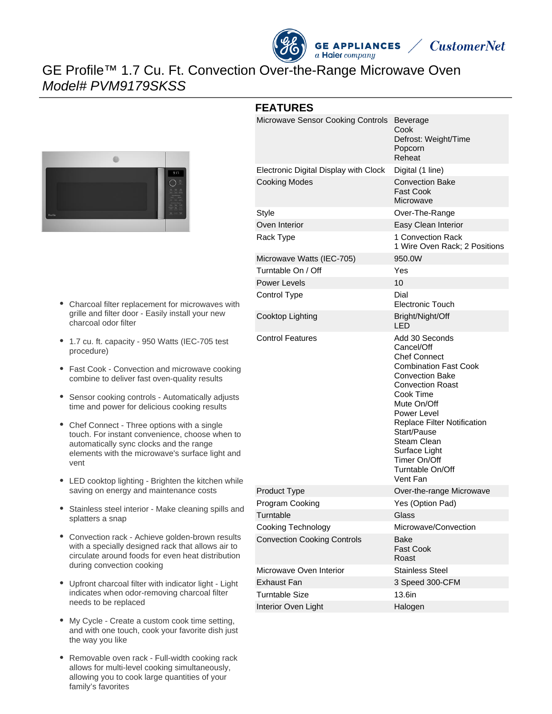

# GE Profile™ 1.7 Cu. Ft. Convection Over-the-Range Microwave Oven Model# PVM9179SKSS



- Charcoal filter replacement for microwaves with grille and filter door - Easily install your new charcoal odor filter
- 1.7 cu. ft. capacity 950 Watts (IEC-705 test procedure)
- Fast Cook Convection and microwave cooking combine to deliver fast oven-quality results
- Sensor cooking controls Automatically adjusts time and power for delicious cooking results
- Chef Connect Three options with a single touch. For instant convenience, choose when to automatically sync clocks and the range elements with the microwave's surface light and vent
- LED cooktop lighting Brighten the kitchen while saving on energy and maintenance costs
- Stainless steel interior Make cleaning spills and splatters a snap
- Convection rack Achieve golden-brown results with a specially designed rack that allows air to circulate around foods for even heat distribution during convection cooking
- Upfront charcoal filter with indicator light Light indicates when odor-removing charcoal filter needs to be replaced
- My Cycle Create a custom cook time setting, and with one touch, cook your favorite dish just the way you like
- Removable oven rack Full-width cooking rack allows for multi-level cooking simultaneously, allowing you to cook large quantities of your family's favorites

| Microwave Sensor Cooking Controls     | Beverage<br>Cook<br>Defrost: Weight/Time<br>Popcorn<br>Reheat                                                                                                                                                                                                                                                            |
|---------------------------------------|--------------------------------------------------------------------------------------------------------------------------------------------------------------------------------------------------------------------------------------------------------------------------------------------------------------------------|
| Electronic Digital Display with Clock | Digital (1 line)                                                                                                                                                                                                                                                                                                         |
| <b>Cooking Modes</b>                  | <b>Convection Bake</b><br>Fast Cook<br>Microwave                                                                                                                                                                                                                                                                         |
| Style                                 | Over-The-Range                                                                                                                                                                                                                                                                                                           |
| Oven Interior                         | Easy Clean Interior                                                                                                                                                                                                                                                                                                      |
| Rack Type                             | 1 Convection Rack<br>1 Wire Oven Rack; 2 Positions                                                                                                                                                                                                                                                                       |
| Microwave Watts (IEC-705)             | 950.0W                                                                                                                                                                                                                                                                                                                   |
| Turntable On / Off                    | Yes                                                                                                                                                                                                                                                                                                                      |
| <b>Power Levels</b>                   | 10                                                                                                                                                                                                                                                                                                                       |
| Control Type                          | Dial<br>Electronic Touch                                                                                                                                                                                                                                                                                                 |
| Cooktop Lighting                      | Bright/Night/Off<br>LED                                                                                                                                                                                                                                                                                                  |
| <b>Control Features</b>               | Add 30 Seconds<br>Cancel/Off<br><b>Chef Connect</b><br><b>Combination Fast Cook</b><br><b>Convection Bake</b><br><b>Convection Roast</b><br>Cook Time<br>Mute On/Off<br>Power Level<br>Replace Filter Notification<br>Start/Pause<br>Steam Clean<br>Surface Light<br>Timer On/Off<br><b>Turntable On/Off</b><br>Vent Fan |
| <b>Product Type</b>                   | Over-the-range Microwave                                                                                                                                                                                                                                                                                                 |
| Program Cooking                       | Yes (Option Pad)                                                                                                                                                                                                                                                                                                         |
| Turntable                             | Glass                                                                                                                                                                                                                                                                                                                    |
| Cooking Technology                    | Microwave/Convection                                                                                                                                                                                                                                                                                                     |
| <b>Convection Cooking Controls</b>    | Bake<br><b>Fast Cook</b><br>Roast                                                                                                                                                                                                                                                                                        |
| Microwave Oven Interior               | <b>Stainless Steel</b>                                                                                                                                                                                                                                                                                                   |
| Exhaust Fan                           | 3 Speed 300-CFM                                                                                                                                                                                                                                                                                                          |
| <b>Turntable Size</b>                 | 13.6in                                                                                                                                                                                                                                                                                                                   |
| Interior Oven Light                   | Halogen                                                                                                                                                                                                                                                                                                                  |
|                                       |                                                                                                                                                                                                                                                                                                                          |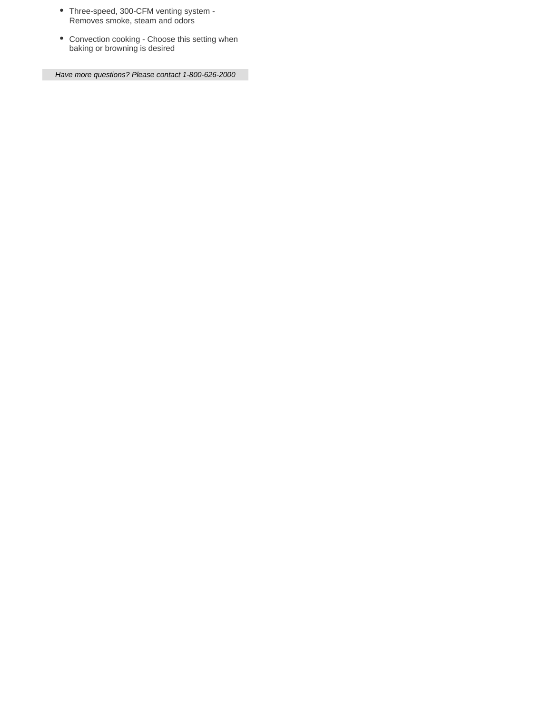- Three-speed, 300-CFM venting system Removes smoke, steam and odors
- Convection cooking Choose this setting when baking or browning is desired

Have more questions? Please contact 1-800-626-2000